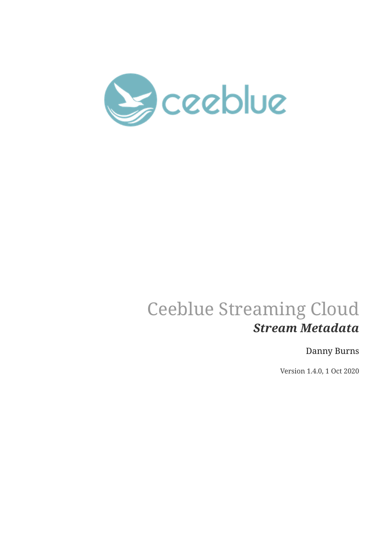

## Ceeblue Streaming Cloud *Stream Metadata*

## Danny Burns

Version 1.4.0, 1 Oct 2020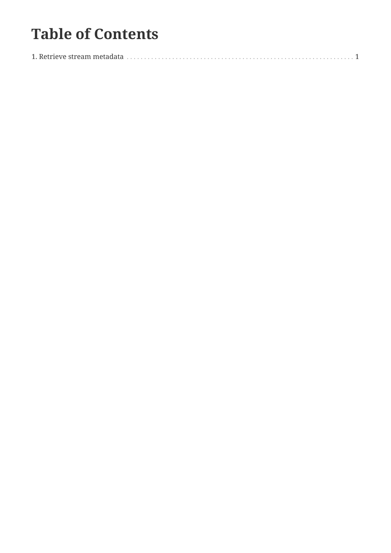## **Table of Contents**

|--|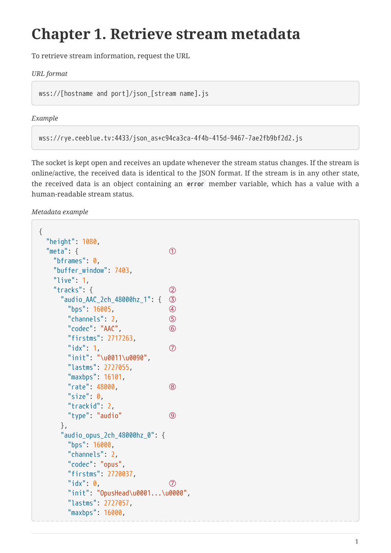## <span id="page-2-0"></span>**Chapter 1. Retrieve stream metadata**

To retrieve stream information, request the URL

*URL format*

wss://[hostname and port]/json\_[stream name].js

*Example*

```
wss://rye.ceeblue.tv:4433/json_as+c94ca3ca-4f4b-415d-9467-7ae2fb9bf2d2.js
```
The socket is kept open and receives an update whenever the stream status changes. If the stream is online/active, the received data is identical to the JSON format. If the stream is in any other state, the received data is an object containing an **error** member variable, which has a value with a human-readable stream status.

*Metadata example*

```
{
   "height": 1080,
 "meta": f (1)
     "bframes": 0,
     "buffer_window": 7403,
     "live": 1,
     "tracks": { ②
       "audio_AAC_2ch_48000hz_1": { ③
        "bps": 16005, ④
        "channels": 2, ⑤
        "codec": "AAC", ⑥
        "firstms": 2717263,
      "idx": 1, \oslash  "init": "\u0011\u0090",
        "lastms": 2727055,
        "maxbps": 16101,
        "rate": 48000, ⑧
        "size": 0,
        "trackid": 2,
        "type": "audio" ⑨
       },
       "audio_opus_2ch_48000hz_0": {
        "bps": 16000,
        "channels": 2,
        "codec": "opus",
        "firstms": 2720037,
      "idx" : 0, ②
        "init": "OpusHead\u0001...\u0000",
        "lastms": 2727057,
        "maxbps": 16000,
```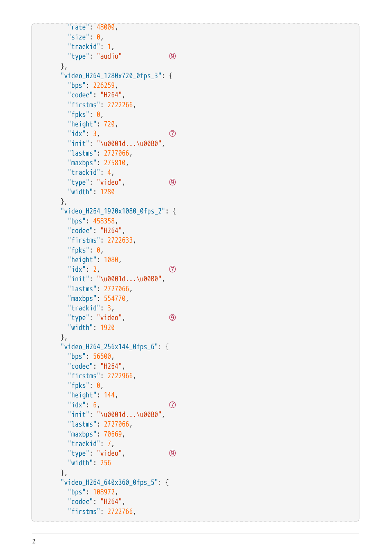```
  "rate": 48000,
  "size": \theta,
    "trackid": 1,
    "type": "audio" ⑨
  },
  "video_H264_1280x720_0fps_3": {
    "bps": 226259,
    "codec": "H264",
    "firstms": 2722266,
  "fpks": \theta,
    "height": 720,
  "idx" : 3, ⑦
    "init": "\u0001d...\u00B0",
    "lastms": 2727066,
    "maxbps": 275810,
    "trackid": 4,
    "type": "video", ⑨
    "width": 1280
  },
  "video_H264_1920x1080_0fps_2": {
    "bps": 458358,
    "codec": "H264",
    "firstms": 2722633,
  "fpks": \theta,
    "height": 1080,
  "idx": 2, \oslash  "init": "\u0001d...\u00B0",
    "lastms": 2727066,
    "maxbps": 554770,
    "trackid": 3,
    "type": "video", ⑨
    "width": 1920
  },
  "video_H264_256x144_0fps_6": {
   "bps": 56500,
    "codec": "H264",
    "firstms": 2722966,
  "fpks": \theta,
    "height": 144,
  "idx": 6, \oslash  "init": "\u0001d...\u00B0",
    "lastms": 2727066,
    "maxbps": 70669,
    "trackid": 7,
    "type": "video", ⑨
    "width": 256
  },
  "video_H264_640x360_0fps_5": {
    "bps": 108972,
    "codec": "H264",
    "firstms": 2722766,
```